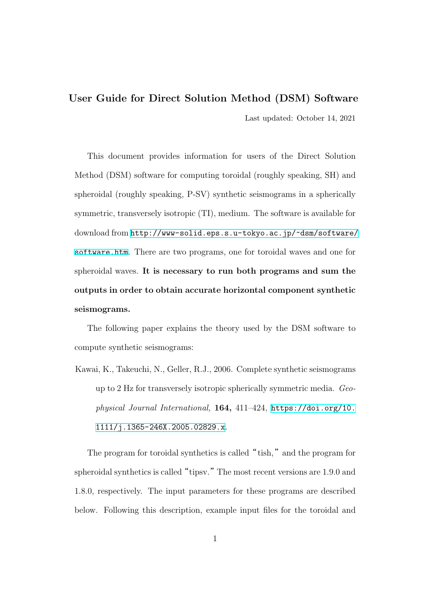#### **User Guide for Direct Solution Method (DSM) Software**

Last updated: October 14, 2021

This document provides information for users of the Direct Solution Method (DSM) software for computing toroidal (roughly speaking, SH) and spheroidal (roughly speaking, P-SV) synthetic seismograms in a spherically symmetric, transversely isotropic (TI), medium. The software is available for download from http://www-solid.eps.s.u-tokyo.ac.jp/~dsm/software/ software.htm. There are two programs, one for toroidal waves and one for spheroidal waves. **[It is necessary to run both programs and sum the](http://www-solid.eps.s.u-tokyo.ac.jp/~dsm/software/software.htm) [outputs in or](http://www-solid.eps.s.u-tokyo.ac.jp/~dsm/software/software.htm)der to obtain accurate horizontal component synthetic seismograms.**

The following paper explains the theory used by the DSM software to compute synthetic seismograms:

Kawai, K., Takeuchi, N., Geller, R.J., 2006. Complete synthetic seismograms up to 2 Hz for transversely isotropic spherically symmetric media. *Geophysical Journal International,* **164,** 411–424, https://doi.org/10. 1111/j.1365-246X.2005.02829.x.

The program for toroidal synthetics is called "tish," and the program for spheroidal synthetics is called["](https://doi.org/10.1111/j.1365-246X.2005.02829.x)tipsv."The most recent versions are 1.9.0 and 1.8.0, respectively. The input parameters for these programs are described below. Following this description, example input files for the toroidal and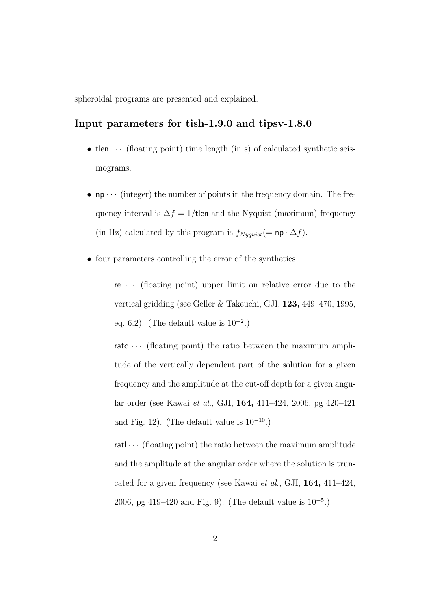spheroidal programs are presented and explained.

### **Input parameters for tish-1.9.0 and tipsv-1.8.0**

- **tlen**  $\cdots$  (floating point) time length (in s) of calculated synthetic seismograms.
- $np \cdots$  (integer) the number of points in the frequency domain. The frequency interval is  $\Delta f = 1$ /tlen and the Nyquist (maximum) frequency (in Hz) calculated by this program is  $f_{Nyquist} (= np \cdot \Delta f)$ .
- four parameters controlling the error of the synthetics
	- **–** re *· · ·* (floating point) upper limit on relative error due to the vertical gridding (see Geller & Takeuchi, GJI, **123,** 449–470, 1995, eq. 6.2). (The default value is 10*−*<sup>2</sup> .)
	- **–** ratc *· · ·* (floating point) the ratio between the maximum amplitude of the vertically dependent part of the solution for a given frequency and the amplitude at the cut-off depth for a given angular order (see Kawai *et al.*, GJI, **164,** 411–424, 2006, pg 420–421 and Fig. 12). (The default value is 10*−*<sup>10</sup>.)
	- **–** ratl *· · ·* (floating point) the ratio between the maximum amplitude and the amplitude at the angular order where the solution is truncated for a given frequency (see Kawai *et al.*, GJI, **164,** 411–424, 2006, pg 419–420 and Fig. 9). (The default value is 10*−*<sup>5</sup> .)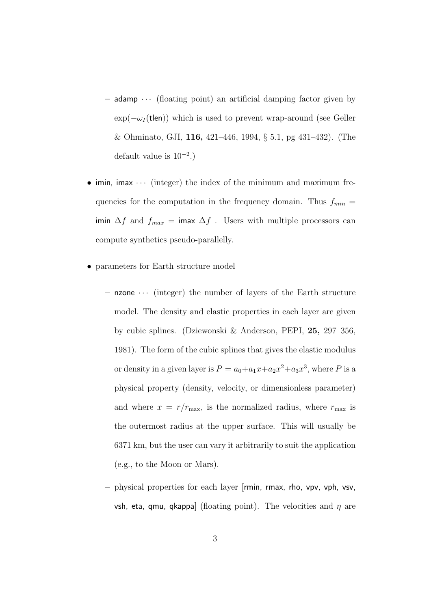- **–** adamp *· · ·* (floating point) an artificial damping factor given by  $\exp(-\omega_I(\text{tlen}))$  which is used to prevent wrap-around (see Geller & Ohminato, GJI, **116,** 421–446, 1994, *§* 5.1, pg 431–432). (The default value is 10*−*<sup>2</sup> .)
- *•* imin, imax *· · ·* (integer) the index of the minimum and maximum frequencies for the computation in the frequency domain. Thus  $f_{min}$  = imin  $\Delta f$  and  $f_{max}$  = imax  $\Delta f$  . Users with multiple processors can compute synthetics pseudo-parallelly.
- *•* parameters for Earth structure model
	- **–** nzone *· · ·* (integer) the number of layers of the Earth structure model. The density and elastic properties in each layer are given by cubic splines. (Dziewonski & Anderson, PEPI, **25,** 297–356, 1981). The form of the cubic splines that gives the elastic modulus or density in a given layer is  $P = a_0 + a_1x + a_2x^2 + a_3x^3$ , where P is a physical property (density, velocity, or dimensionless parameter) and where  $x = r/r_{\text{max}}$ , is the normalized radius, where  $r_{\text{max}}$  is the outermost radius at the upper surface. This will usually be 6371 km, but the user can vary it arbitrarily to suit the application (e.g., to the Moon or Mars).
	- **–** physical properties for each layer [rmin, rmax, rho, vpv, vph, vsv, vsh, eta, qmu, qkappa] (floating point). The velocities and *η* are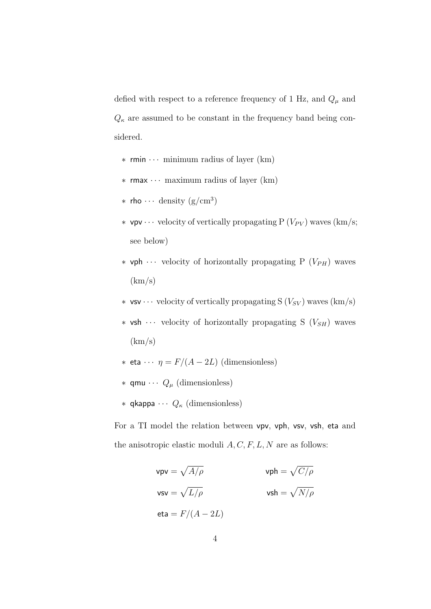defied with respect to a reference frequency of 1 Hz, and  $Q_{\mu}$  and  $Q_{\kappa}$  are assumed to be constant in the frequency band being considered.

- *∗* rmin *· · ·* minimum radius of layer (km)
- *∗* rmax *· · ·* maximum radius of layer (km)
- *<sup>∗</sup>* rho *· · ·* density (g/cm<sup>3</sup> )
- *∗* vpv · · · velocity of vertically propagating P (*V<sub>PV</sub>*) waves (km/s; see below)
- *∗* vph *· · ·* velocity of horizontally propagating P (*VP H*) waves  $(km/s)$
- *∗* vsv *· · ·* velocity of vertically propagating S (*VSV* ) waves (km/s)
- *∗* vsh *· · ·* velocity of horizontally propagating S (*VSH*) waves  $(km/s)$
- *∗* eta  $\cdots$  *η* = *F*/(*A* − 2*L*) (dimensionless)
- *∗* qmu *· · · Q<sup>µ</sup>* (dimensionless)
- *∗* qkappa *· · · Q<sup>κ</sup>* (dimensionless)

For a TI model the relation between vpv, vph, vsv, vsh, eta and the anisotropic elastic moduli *A, C, F, L, N* are as follows:

$$
vpv = \sqrt{A/\rho} \qquad \qquad vph = \sqrt{C/\rho}
$$
  

$$
vsv = \sqrt{L/\rho} \qquad \qquad vsh = \sqrt{N/\rho}
$$
  
eta =  $F/(A - 2L)$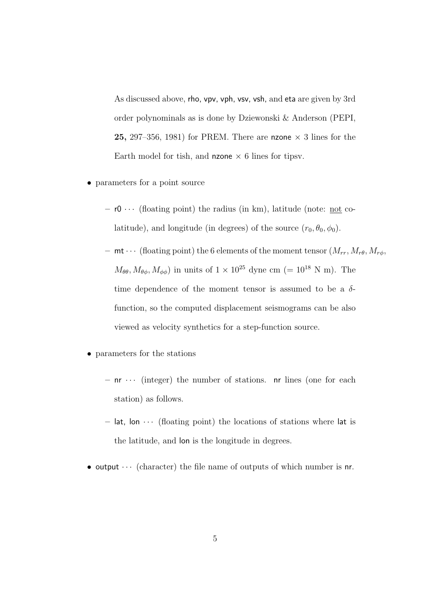As discussed above, rho, vpv, vph, vsv, vsh, and eta are given by 3rd order polynominals as is done by Dziewonski & Anderson (PEPI, **25,** 297–356, 1981) for PREM. There are nzone  $\times$  3 lines for the Earth model for tish, and **nzone**  $\times$  6 lines for tipsy.

- *•* parameters for a point source
	- **–** r0 *· · ·* (floating point) the radius (in km), latitude (note: not colatitude), and longitude (in degrees) of the source  $(r_0, \theta_0, \phi_0)$ .
	- $-$  **mt**  $\cdots$  (floating point) the 6 elements of the moment tensor  $(M_{rr}, M_{r\theta}, M_{r\phi})$  $M_{\theta\theta}$ ,  $M_{\theta\phi}$ ,  $M_{\phi\phi}$ ) in units of  $1 \times 10^{25}$  dyne cm (= 10<sup>18</sup> N m). The time dependence of the moment tensor is assumed to be a *δ*function, so the computed displacement seismograms can be also viewed as velocity synthetics for a step-function source.
- *•* parameters for the stations
	- **–** nr *· · ·* (integer) the number of stations. nr lines (one for each station) as follows.
	- $-$  lat, lon  $\cdots$  (floating point) the locations of stations where lat is the latitude, and lon is the longitude in degrees.
- output  $\cdots$  (character) the file name of outputs of which number is nr.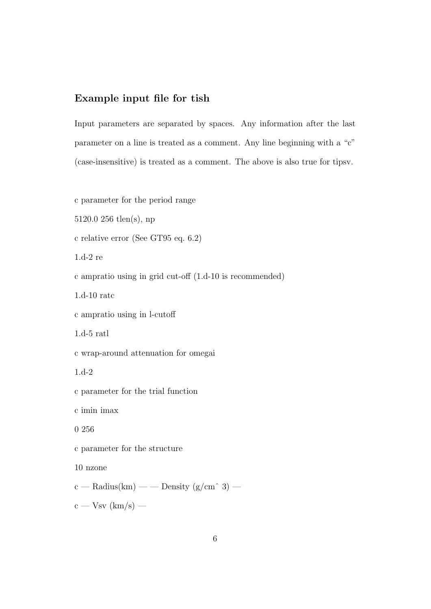## **Example input file for tish**

Input parameters are separated by spaces. Any information after the last parameter on a line is treated as a comment. Any line beginning with a "c" (case-insensitive) is treated as a comment. The above is also true for tipsv.

c parameter for the period range 5120.0 256 tlen(s), np c relative error (See GT95 eq. 6.2) 1.d-2 re c ampratio using in grid cut-off (1.d-10 is recommended) 1.d-10 ratc c ampratio using in l-cutoff 1.d-5 ratl c wrap-around attenuation for omegai 1.d-2 c parameter for the trial function c imin imax 0 256 c parameter for the structure 10 nzone c — Radius(km) — — Density (g/cm<sup> $\hat{ }$ </sup> 3) —

 $c - Vsv$  (km/s) —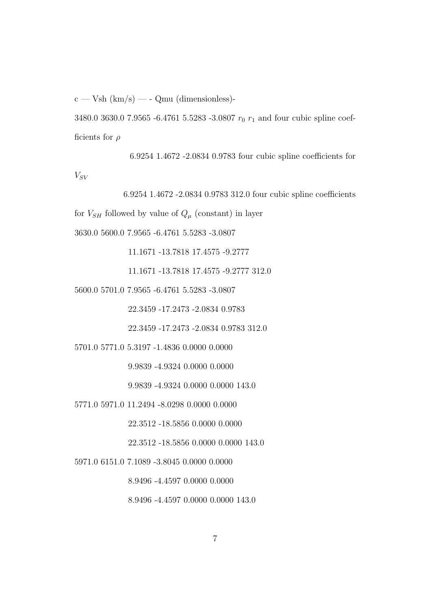$c - Vsh (km/s) - Qmu (dimensionless)$ 

3480.0 3630.0 7.9565 -6.4761 5.5283 -3.0807  $r_0$   $r_1$  and four cubic spline coefficients for *ρ*

6.9254 1.4672 -2.0834 0.9783 four cubic spline coefficients for *VSV*

6.9254 1.4672 -2.0834 0.9783 312.0 four cubic spline coefficients for  $V_{SH}$  followed by value of  $Q_\mu$  (constant) in layer 3630.0 5600.0 7.9565 -6.4761 5.5283 -3.0807 11.1671 -13.7818 17.4575 -9.2777 11.1671 -13.7818 17.4575 -9.2777 312.0 5600.0 5701.0 7.9565 -6.4761 5.5283 -3.0807 22.3459 -17.2473 -2.0834 0.9783 22.3459 -17.2473 -2.0834 0.9783 312.0

5701.0 5771.0 5.3197 -1.4836 0.0000 0.0000

9.9839 -4.9324 0.0000 0.0000

9.9839 -4.9324 0.0000 0.0000 143.0

5771.0 5971.0 11.2494 -8.0298 0.0000 0.0000

22.3512 -18.5856 0.0000 0.0000

22.3512 -18.5856 0.0000 0.0000 143.0

5971.0 6151.0 7.1089 -3.8045 0.0000 0.0000

8.9496 -4.4597 0.0000 0.0000

8.9496 -4.4597 0.0000 0.0000 143.0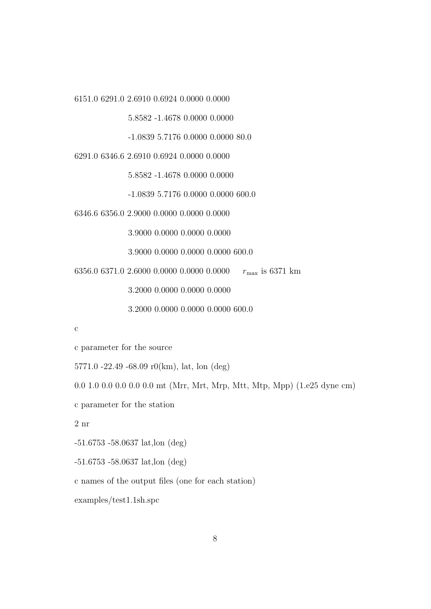6151.0 6291.0 2.6910 0.6924 0.0000 0.0000

5.8582 -1.4678 0.0000 0.0000

-1.0839 5.7176 0.0000 0.0000 80.0

6291.0 6346.6 2.6910 0.6924 0.0000 0.0000

5.8582 -1.4678 0.0000 0.0000

-1.0839 5.7176 0.0000 0.0000 600.0

6346.6 6356.0 2.9000 0.0000 0.0000 0.0000

3.9000 0.0000 0.0000 0.0000

3.9000 0.0000 0.0000 0.0000 600.0

6356.0 6371.0 2.6000 0.0000 0.0000 0.0000 *r*max is 6371 km

3.2000 0.0000 0.0000 0.0000

3.2000 0.0000 0.0000 0.0000 600.0

c

c parameter for the source

5771.0 -22.49 -68.09 r0(km), lat, lon (deg)

0.0 1.0 0.0 0.0 0.0 0.0 mt (Mrr, Mrt, Mrp, Mtt, Mtp, Mpp) (1.e25 dyne cm)

c parameter for the station

2 nr

-51.6753 -58.0637 lat,lon (deg)

-51.6753 -58.0637 lat,lon (deg)

c names of the output files (one for each station)

examples/test1.1sh.spc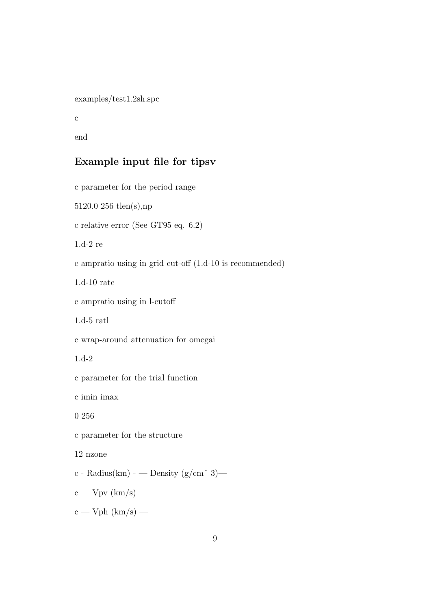examples/test1.2sh.spc

c

end

# **Example input file for tipsv**

c parameter for the period range 5120.0 256 tlen(s),np c relative error (See GT95 eq. 6.2) 1.d-2 re c ampratio using in grid cut-off (1.d-10 is recommended) 1.d-10 ratc c ampratio using in l-cutoff 1.d-5 ratl c wrap-around attenuation for omegai 1.d-2 c parameter for the trial function c imin imax 0 256 c parameter for the structure 12 nzone c - Radius(km) - — Density ( $g/cm \hat{ }$  3)  $c - Vpv$  (km/s) –  $c - Vph (km/s) -$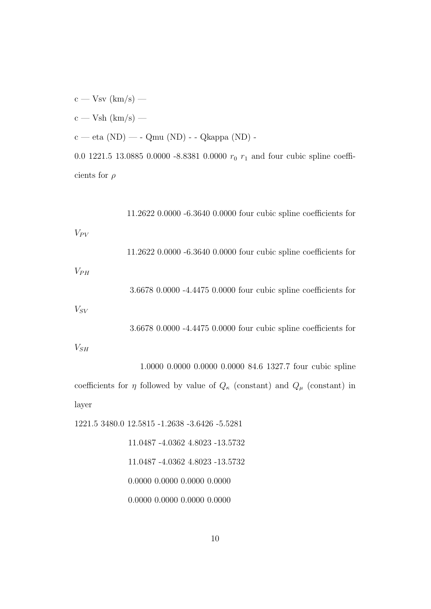$c - Vsv$  (km/s) —

 $c - Vsh(km/s) -$ 

 $c - eta (ND) - - Qmu (ND) - Qkappa (ND) -$ 

0.0 1221.5 13.0885 0.0000 -8.8381 0.0000  $r_0$   $r_1$  and four cubic spline coefficients for *ρ*

11.2622 0.0000 -6.3640 0.0000 four cubic spline coefficients for  $V_{PV}$ 11.2622 0.0000 -6.3640 0.0000 four cubic spline coefficients for

 $V_{PH}$ 

3.6678 0.0000 -4.4475 0.0000 four cubic spline coefficients for

*VSV*

3.6678 0.0000 -4.4475 0.0000 four cubic spline coefficients for

*VSH*

```
1.0000 0.0000 0.0000 0.0000 84.6 1327.7 four cubic spline
coefficients for η followed by value of Q_{\kappa} (constant) and Q_{\mu} (constant) in
layer
```
1221.5 3480.0 12.5815 -1.2638 -3.6426 -5.5281

11.0487 -4.0362 4.8023 -13.5732 11.0487 -4.0362 4.8023 -13.5732 0.0000 0.0000 0.0000 0.0000

0.0000 0.0000 0.0000 0.0000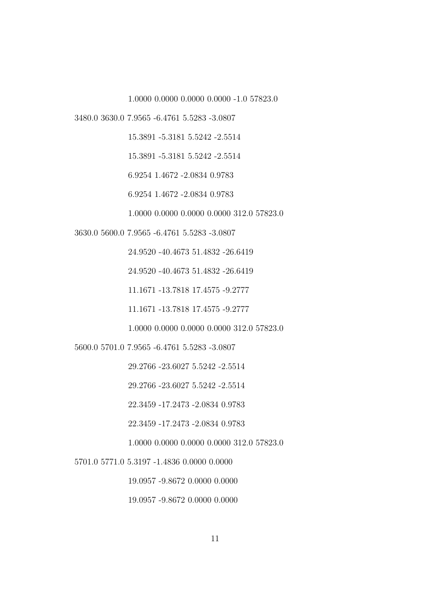1.0000 0.0000 0.0000 0.0000 -1.0 57823.0

3480.0 3630.0 7.9565 -6.4761 5.5283 -3.0807

15.3891 -5.3181 5.5242 -2.5514

15.3891 -5.3181 5.5242 -2.5514

6.9254 1.4672 -2.0834 0.9783

6.9254 1.4672 -2.0834 0.9783

1.0000 0.0000 0.0000 0.0000 312.0 57823.0

3630.0 5600.0 7.9565 -6.4761 5.5283 -3.0807

24.9520 -40.4673 51.4832 -26.6419

24.9520 -40.4673 51.4832 -26.6419

11.1671 -13.7818 17.4575 -9.2777

11.1671 -13.7818 17.4575 -9.2777

1.0000 0.0000 0.0000 0.0000 312.0 57823.0

5600.0 5701.0 7.9565 -6.4761 5.5283 -3.0807

29.2766 -23.6027 5.5242 -2.5514

29.2766 -23.6027 5.5242 -2.5514

22.3459 -17.2473 -2.0834 0.9783

22.3459 -17.2473 -2.0834 0.9783

1.0000 0.0000 0.0000 0.0000 312.0 57823.0

5701.0 5771.0 5.3197 -1.4836 0.0000 0.0000

19.0957 -9.8672 0.0000 0.0000

19.0957 -9.8672 0.0000 0.0000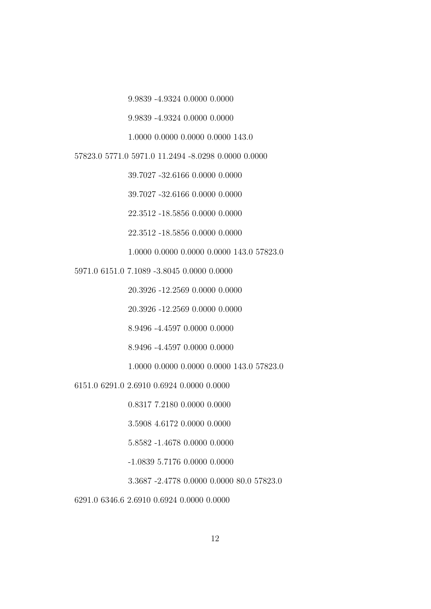9.9839 -4.9324 0.0000 0.0000

9.9839 -4.9324 0.0000 0.0000

1.0000 0.0000 0.0000 0.0000 143.0

57823.0 5771.0 5971.0 11.2494 -8.0298 0.0000 0.0000

39.7027 -32.6166 0.0000 0.0000

39.7027 -32.6166 0.0000 0.0000

22.3512 -18.5856 0.0000 0.0000

22.3512 -18.5856 0.0000 0.0000

1.0000 0.0000 0.0000 0.0000 143.0 57823.0

5971.0 6151.0 7.1089 -3.8045 0.0000 0.0000

20.3926 -12.2569 0.0000 0.0000

20.3926 -12.2569 0.0000 0.0000

8.9496 -4.4597 0.0000 0.0000

8.9496 -4.4597 0.0000 0.0000

1.0000 0.0000 0.0000 0.0000 143.0 57823.0

6151.0 6291.0 2.6910 0.6924 0.0000 0.0000

0.8317 7.2180 0.0000 0.0000

3.5908 4.6172 0.0000 0.0000

5.8582 -1.4678 0.0000 0.0000

-1.0839 5.7176 0.0000 0.0000

3.3687 -2.4778 0.0000 0.0000 80.0 57823.0

6291.0 6346.6 2.6910 0.6924 0.0000 0.0000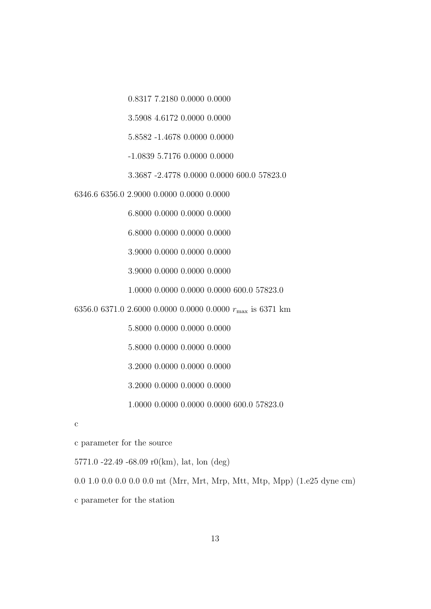0.8317 7.2180 0.0000 0.0000

3.5908 4.6172 0.0000 0.0000

5.8582 -1.4678 0.0000 0.0000

-1.0839 5.7176 0.0000 0.0000

3.3687 -2.4778 0.0000 0.0000 600.0 57823.0

6346.6 6356.0 2.9000 0.0000 0.0000 0.0000

6.8000 0.0000 0.0000 0.0000

6.8000 0.0000 0.0000 0.0000

3.9000 0.0000 0.0000 0.0000

3.9000 0.0000 0.0000 0.0000

1.0000 0.0000 0.0000 0.0000 600.0 57823.0

6356.0 6371.0 2.6000 0.0000 0.0000 0.0000 *r*max is 6371 km

5.8000 0.0000 0.0000 0.0000

5.8000 0.0000 0.0000 0.0000

3.2000 0.0000 0.0000 0.0000

3.2000 0.0000 0.0000 0.0000

1.0000 0.0000 0.0000 0.0000 600.0 57823.0

c

c parameter for the source

5771.0 -22.49 -68.09 r0(km), lat, lon (deg)

0.0 1.0 0.0 0.0 0.0 0.0 mt (Mrr, Mrt, Mrp, Mtt, Mtp, Mpp) (1.e25 dyne cm)

c parameter for the station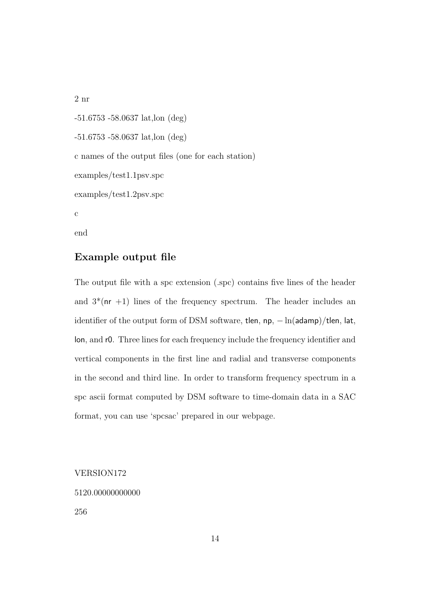2 nr

-51.6753 -58.0637 lat,lon (deg) -51.6753 -58.0637 lat,lon (deg) c names of the output files (one for each station) examples/test1.1psv.spc examples/test1.2psv.spc c

end

### **Example output file**

The output file with a spc extension (.spc) contains five lines of the header and  $3^*(nr +1)$  lines of the frequency spectrum. The header includes an identifier of the output form of DSM software, tlen, np, *−* ln(adamp)*/*tlen, lat, lon, and r0. Three lines for each frequency include the frequency identifier and vertical components in the first line and radial and transverse components in the second and third line. In order to transform frequency spectrum in a spc ascii format computed by DSM software to time-domain data in a SAC format, you can use 'spcsac' prepared in our webpage.

VERSION172

5120.00000000000

256